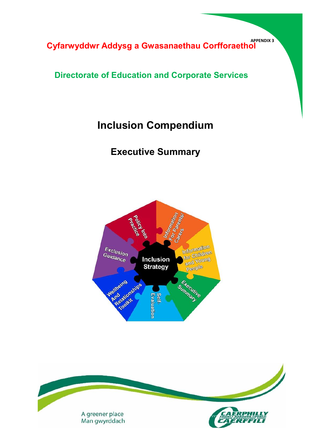**APPENDIX 3 Cyfarwyddwr Addysg a Gwasanaethau Corfforaethol**

# **Directorate of Education and Corporate Services**

# **Inclusion Compendium**

# **Executive Summary**



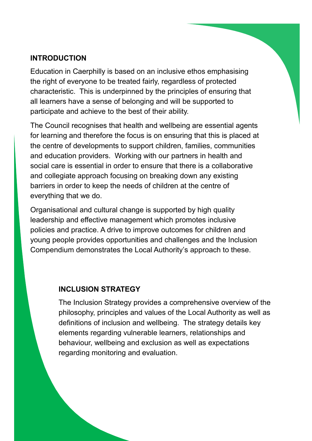### **INTRODUCTION**

Education in Caerphilly is based on an inclusive ethos emphasising the right of everyone to be treated fairly, regardless of protected characteristic. This is underpinned by the principles of ensuring that all learners have a sense of belonging and will be supported to participate and achieve to the best of their ability.

The Council recognises that health and wellbeing are essential agents for learning and therefore the focus is on ensuring that this is placed at the centre of developments to support children, families, communities and education providers. Working with our partners in health and social care is essential in order to ensure that there is a collaborative and collegiate approach focusing on breaking down any existing barriers in order to keep the needs of children at the centre of everything that we do.

Organisational and cultural change is supported by high quality leadership and effective management which promotes inclusive policies and practice. A drive to improve outcomes for children and young people provides opportunities and challenges and the Inclusion Compendium demonstrates the Local Authority's approach to these.

#### **INCLUSION STRATEGY**

The Inclusion Strategy provides a comprehensive overview of the philosophy, principles and values of the Local Authority as well as definitions of inclusion and wellbeing. The strategy details key elements regarding vulnerable learners, relationships and behaviour, wellbeing and exclusion as well as expectations regarding monitoring and evaluation.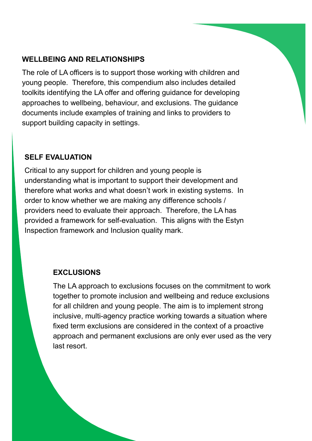### **WELLBEING AND RELATIONSHIPS**

The role of LA officers is to support those working with children and young people. Therefore, this compendium also includes detailed toolkits identifying the LA offer and offering guidance for developing approaches to wellbeing, behaviour, and exclusions. The guidance documents include examples of training and links to providers to support building capacity in settings.

#### **SELF EVALUATION**

Critical to any support for children and young people is understanding what is important to support their development and therefore what works and what doesn't work in existing systems. In order to know whether we are making any difference schools / providers need to evaluate their approach. Therefore, the LA has provided a framework for self-evaluation. This aligns with the Estyn Inspection framework and Inclusion quality mark.

#### **EXCLUSIONS**

The LA approach to exclusions focuses on the commitment to work together to promote inclusion and wellbeing and reduce exclusions for all children and young people. The aim is to implement strong inclusive, multi-agency practice working towards a situation where fixed term exclusions are considered in the context of a proactive approach and permanent exclusions are only ever used as the very last resort.